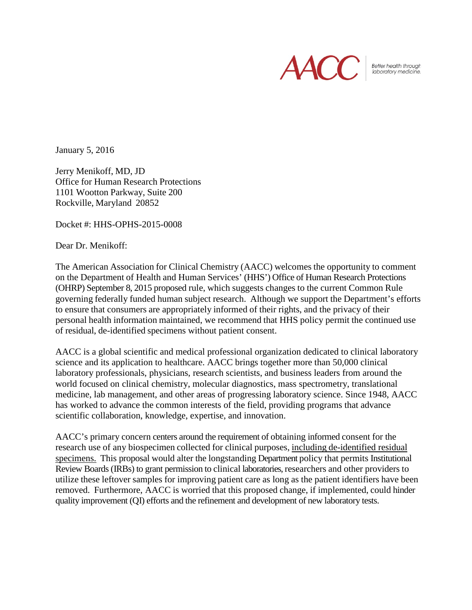

Better health through<br>laboratory medicine.

January 5, 2016

Jerry Menikoff, MD, JD Office for Human Research Protections 1101 Wootton Parkway, Suite 200 Rockville, Maryland 20852

Docket #: HHS-OPHS-2015-0008

Dear Dr. Menikoff:

The American Association for Clinical Chemistry (AACC) welcomes the opportunity to comment on the Department of Health and Human Services' (HHS') Office of Human Research Protections (OHRP) September 8, 2015 proposed rule, which suggests changes to the current Common Rule governing federally funded human subject research. Although we support the Department's efforts to ensure that consumers are appropriately informed of their rights, and the privacy of their personal health information maintained, we recommend that HHS policy permit the continued use of residual, de-identified specimens without patient consent.

AACC is a global scientific and medical professional organization dedicated to clinical laboratory science and its application to healthcare. AACC brings together more than 50,000 clinical laboratory professionals, physicians, research scientists, and business leaders from around the world focused on clinical chemistry, molecular diagnostics, mass spectrometry, translational medicine, lab management, and other areas of progressing laboratory science. Since 1948, AACC has worked to advance the common interests of the field, providing programs that advance scientific collaboration, knowledge, expertise, and innovation.

AACC's primary concern centers around the requirement of obtaining informed consent for the research use of any biospecimen collected for clinical purposes, including de-identified residual specimens. This proposal would alter the longstanding Department policy that permits Institutional Review Boards (IRBs) to grant permission to clinical laboratories, researchers and other providers to utilize these leftover samples for improving patient care as long as the patient identifiers have been removed. Furthermore, AACC is worried that this proposed change, if implemented, could hinder quality improvement (QI) efforts and the refinement and development of new laboratory tests.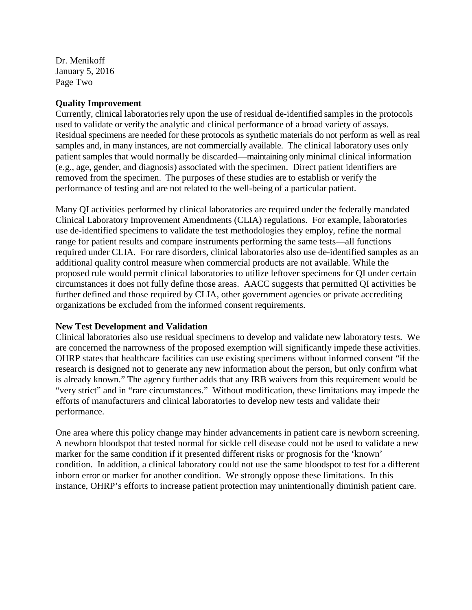Dr. Menikoff January 5, 2016 Page Two

#### **Quality Improvement**

Currently, clinical laboratories rely upon the use of residual de-identified samples in the protocols used to validate or verify the analytic and clinical performance of a broad variety of assays. Residual specimens are needed for these protocols as synthetic materials do not perform as well as real samples and, in many instances, are not commercially available. The clinical laboratory uses only patient samples that would normally be discarded—maintaining only minimal clinical information (e.g., age, gender, and diagnosis) associated with the specimen. Direct patient identifiers are removed from the specimen. The purposes of these studies are to establish or verify the performance of testing and are not related to the well-being of a particular patient.

Many QI activities performed by clinical laboratories are required under the federally mandated Clinical Laboratory Improvement Amendments (CLIA) regulations. For example, laboratories use de-identified specimens to validate the test methodologies they employ, refine the normal range for patient results and compare instruments performing the same tests—all functions required under CLIA. For rare disorders, clinical laboratories also use de-identified samples as an additional quality control measure when commercial products are not available. While the proposed rule would permit clinical laboratories to utilize leftover specimens for QI under certain circumstances it does not fully define those areas. AACC suggests that permitted QI activities be further defined and those required by CLIA, other government agencies or private accrediting organizations be excluded from the informed consent requirements.

### **New Test Development and Validation**

Clinical laboratories also use residual specimens to develop and validate new laboratory tests. We are concerned the narrowness of the proposed exemption will significantly impede these activities. OHRP states that healthcare facilities can use existing specimens without informed consent "if the research is designed not to generate any new information about the person, but only confirm what is already known." The agency further adds that any IRB waivers from this requirement would be "very strict" and in "rare circumstances." Without modification, these limitations may impede the efforts of manufacturers and clinical laboratories to develop new tests and validate their performance.

One area where this policy change may hinder advancements in patient care is newborn screening. A newborn bloodspot that tested normal for sickle cell disease could not be used to validate a new marker for the same condition if it presented different risks or prognosis for the 'known' condition. In addition, a clinical laboratory could not use the same bloodspot to test for a different inborn error or marker for another condition. We strongly oppose these limitations. In this instance, OHRP's efforts to increase patient protection may unintentionally diminish patient care.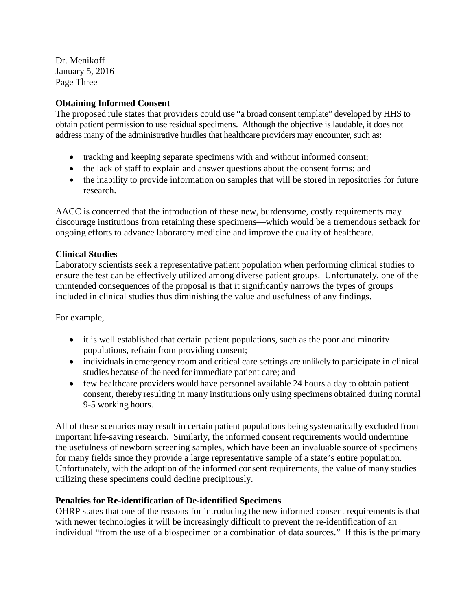Dr. Menikoff January 5, 2016 Page Three

## **Obtaining Informed Consent**

The proposed rule states that providers could use "a broad consent template" developed by HHS to obtain patient permission to use residual specimens. Although the objective is laudable, it does not address many of the administrative hurdles that healthcare providers may encounter, such as:

- tracking and keeping separate specimens with and without informed consent;
- the lack of staff to explain and answer questions about the consent forms; and
- the inability to provide information on samples that will be stored in repositories for future research.

AACC is concerned that the introduction of these new, burdensome, costly requirements may discourage institutions from retaining these specimens—which would be a tremendous setback for ongoing efforts to advance laboratory medicine and improve the quality of healthcare.

### **Clinical Studies**

Laboratory scientists seek a representative patient population when performing clinical studies to ensure the test can be effectively utilized among diverse patient groups. Unfortunately, one of the unintended consequences of the proposal is that it significantly narrows the types of groups included in clinical studies thus diminishing the value and usefulness of any findings.

For example,

- it is well established that certain patient populations, such as the poor and minority populations, refrain from providing consent;
- individuals in emergency room and critical care settings are unlikely to participate in clinical studies because of the need for immediate patient care; and
- few healthcare providers would have personnel available 24 hours a day to obtain patient consent, thereby resulting in many institutions only using specimens obtained during normal 9-5 working hours.

All of these scenarios may result in certain patient populations being systematically excluded from important life-saving research. Similarly, the informed consent requirements would undermine the usefulness of newborn screening samples, which have been an invaluable source of specimens for many fields since they provide a large representative sample of a state's entire population. Unfortunately, with the adoption of the informed consent requirements, the value of many studies utilizing these specimens could decline precipitously.

# **Penalties for Re-identification of De-identified Specimens**

OHRP states that one of the reasons for introducing the new informed consent requirements is that with newer technologies it will be increasingly difficult to prevent the re-identification of an individual "from the use of a biospecimen or a combination of data sources." If this is the primary